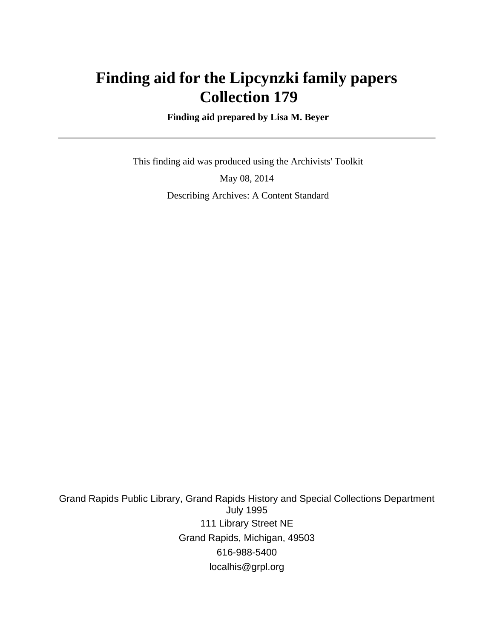# **Finding aid for the Lipcynzki family papers Collection 179**

 **Finding aid prepared by Lisa M. Beyer**

 This finding aid was produced using the Archivists' Toolkit May 08, 2014 Describing Archives: A Content Standard

Grand Rapids Public Library, Grand Rapids History and Special Collections Department July 1995 111 Library Street NE Grand Rapids, Michigan, 49503 616-988-5400 localhis@grpl.org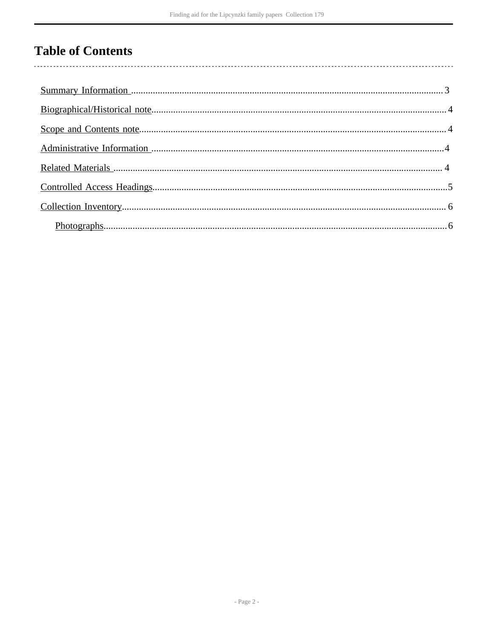# **Table of Contents**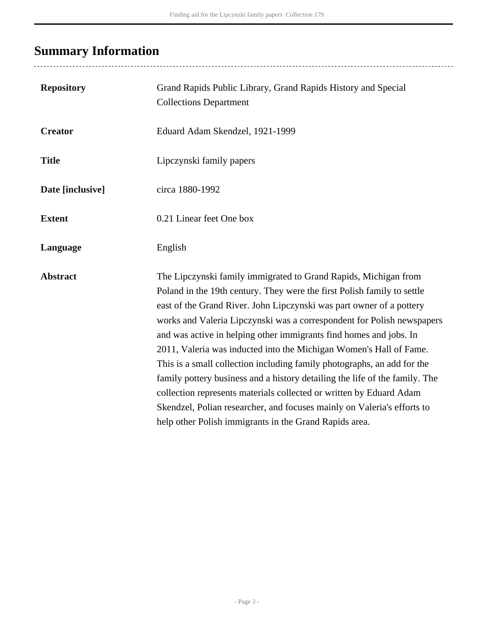# <span id="page-2-0"></span>**Summary Information**

| <b>Repository</b> | Grand Rapids Public Library, Grand Rapids History and Special<br><b>Collections Department</b>                                                                                                                                                                                                                                                                                                                                                                                                                                                                                                                                                                                                                                                                                                                 |
|-------------------|----------------------------------------------------------------------------------------------------------------------------------------------------------------------------------------------------------------------------------------------------------------------------------------------------------------------------------------------------------------------------------------------------------------------------------------------------------------------------------------------------------------------------------------------------------------------------------------------------------------------------------------------------------------------------------------------------------------------------------------------------------------------------------------------------------------|
| <b>Creator</b>    | Eduard Adam Skendzel, 1921-1999                                                                                                                                                                                                                                                                                                                                                                                                                                                                                                                                                                                                                                                                                                                                                                                |
| <b>Title</b>      | Lipczynski family papers                                                                                                                                                                                                                                                                                                                                                                                                                                                                                                                                                                                                                                                                                                                                                                                       |
| Date [inclusive]  | circa 1880-1992                                                                                                                                                                                                                                                                                                                                                                                                                                                                                                                                                                                                                                                                                                                                                                                                |
| <b>Extent</b>     | 0.21 Linear feet One box                                                                                                                                                                                                                                                                                                                                                                                                                                                                                                                                                                                                                                                                                                                                                                                       |
| Language          | English                                                                                                                                                                                                                                                                                                                                                                                                                                                                                                                                                                                                                                                                                                                                                                                                        |
| <b>Abstract</b>   | The Lipczynski family immigrated to Grand Rapids, Michigan from<br>Poland in the 19th century. They were the first Polish family to settle<br>east of the Grand River. John Lipczynski was part owner of a pottery<br>works and Valeria Lipczynski was a correspondent for Polish newspapers<br>and was active in helping other immigrants find homes and jobs. In<br>2011, Valeria was inducted into the Michigan Women's Hall of Fame.<br>This is a small collection including family photographs, an add for the<br>family pottery business and a history detailing the life of the family. The<br>collection represents materials collected or written by Eduard Adam<br>Skendzel, Polian researcher, and focuses mainly on Valeria's efforts to<br>help other Polish immigrants in the Grand Rapids area. |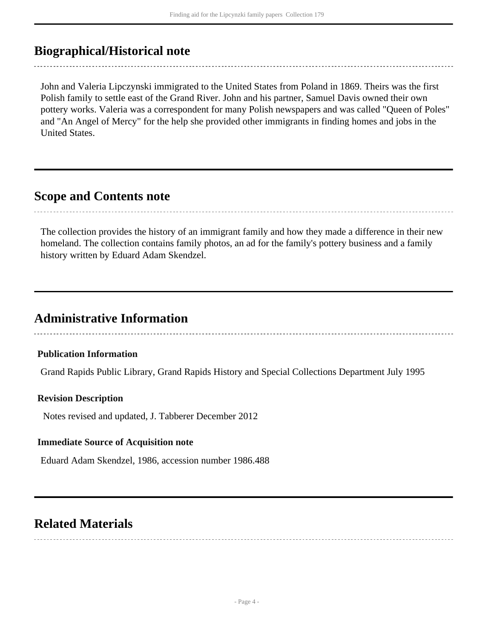# <span id="page-3-0"></span>**Biographical/Historical note**

John and Valeria Lipczynski immigrated to the United States from Poland in 1869. Theirs was the first Polish family to settle east of the Grand River. John and his partner, Samuel Davis owned their own pottery works. Valeria was a correspondent for many Polish newspapers and was called "Queen of Poles" and "An Angel of Mercy" for the help she provided other immigrants in finding homes and jobs in the United States.

## <span id="page-3-1"></span>**Scope and Contents note**

The collection provides the history of an immigrant family and how they made a difference in their new homeland. The collection contains family photos, an ad for the family's pottery business and a family history written by Eduard Adam Skendzel.

. . . . . . . . . . . . . . . . . . . .

# <span id="page-3-2"></span>**Administrative Information**

### **Publication Information**

Grand Rapids Public Library, Grand Rapids History and Special Collections Department July 1995

### **Revision Description**

Notes revised and updated, J. Tabberer December 2012

### **Immediate Source of Acquisition note**

Eduard Adam Skendzel, 1986, accession number 1986.488

## <span id="page-3-3"></span>**Related Materials**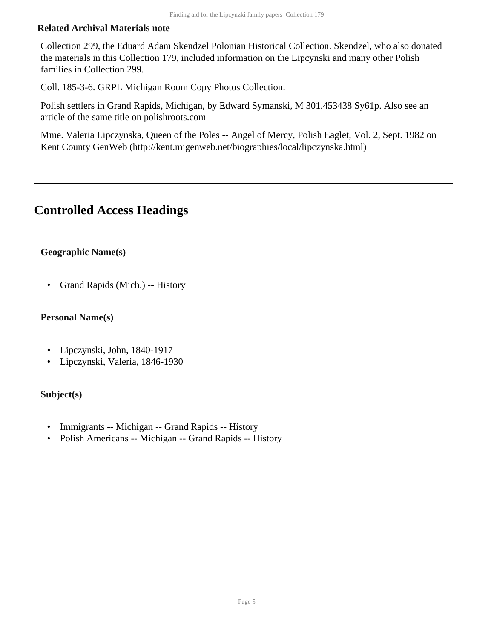### **Related Archival Materials note**

Collection 299, the Eduard Adam Skendzel Polonian Historical Collection. Skendzel, who also donated the materials in this Collection 179, included information on the Lipcynski and many other Polish families in Collection 299.

Coll. 185-3-6. GRPL Michigan Room Copy Photos Collection.

Polish settlers in Grand Rapids, Michigan, by Edward Symanski, M 301.453438 Sy61p. Also see an article of the same title on polishroots.com

Mme. Valeria Lipczynska, Queen of the Poles -- Angel of Mercy, Polish Eaglet, Vol. 2, Sept. 1982 on Kent County GenWeb (http://kent.migenweb.net/biographies/local/lipczynska.html)

# <span id="page-4-0"></span>**Controlled Access Headings**

### **Geographic Name(s)**

• Grand Rapids (Mich.) -- History

#### **Personal Name(s)**

- Lipczynski, John, 1840-1917
- Lipczynski, Valeria, 1846-1930

### **Subject(s)**

- Immigrants -- Michigan -- Grand Rapids -- History
- Polish Americans -- Michigan -- Grand Rapids -- History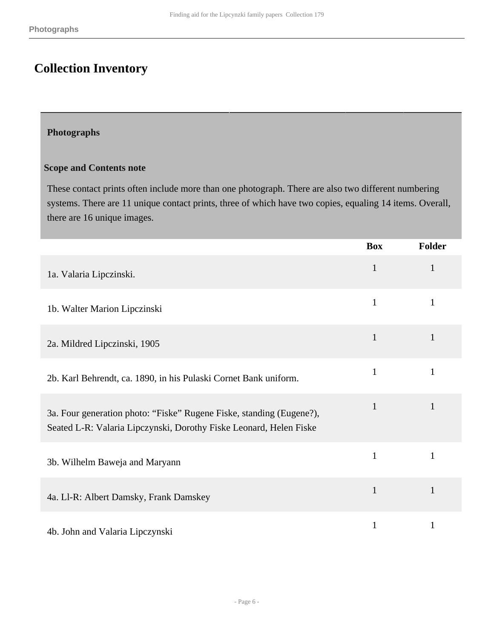# <span id="page-5-0"></span>**Collection Inventory**

### <span id="page-5-1"></span>**Photographs**

### **Scope and Contents note**

These contact prints often include more than one photograph. There are also two different numbering systems. There are 11 unique contact prints, three of which have two copies, equaling 14 items. Overall, there are 16 unique images.

|                                                                                                                                            | <b>Box</b>   | <b>Folder</b> |
|--------------------------------------------------------------------------------------------------------------------------------------------|--------------|---------------|
| 1a. Valaria Lipczinski.                                                                                                                    | $\mathbf{1}$ | $\mathbf{1}$  |
| 1b. Walter Marion Lipczinski                                                                                                               | $\mathbf{1}$ | $\mathbf{1}$  |
| 2a. Mildred Lipczinski, 1905                                                                                                               | $\mathbf{1}$ | $\mathbf{1}$  |
| 2b. Karl Behrendt, ca. 1890, in his Pulaski Cornet Bank uniform.                                                                           | $\mathbf{1}$ | 1             |
| 3a. Four generation photo: "Fiske" Rugene Fiske, standing (Eugene?),<br>Seated L-R: Valaria Lipczynski, Dorothy Fiske Leonard, Helen Fiske | $\mathbf{1}$ | $\mathbf{1}$  |
| 3b. Wilhelm Baweja and Maryann                                                                                                             | $\mathbf{1}$ | $\mathbf{1}$  |
| 4a. Ll-R: Albert Damsky, Frank Damskey                                                                                                     | $\mathbf{1}$ | $\mathbf{1}$  |
| 4b. John and Valaria Lipczynski                                                                                                            | $\mathbf{1}$ | $\mathbf{1}$  |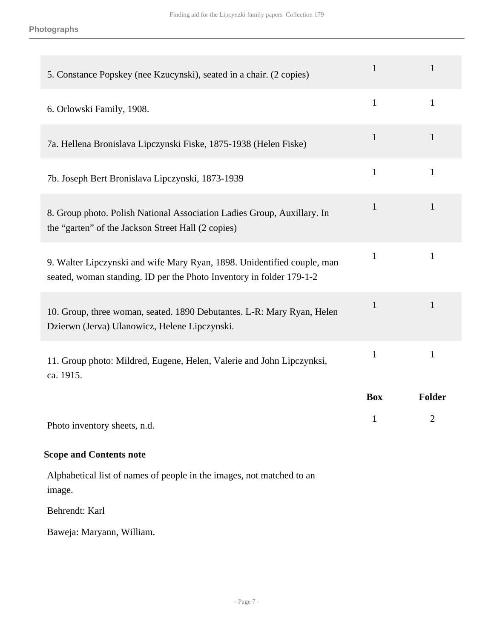| 5. Constance Popskey (nee Kzucynski), seated in a chair. (2 copies)                                                                             | $\mathbf{1}$ | $\mathbf{1}$   |
|-------------------------------------------------------------------------------------------------------------------------------------------------|--------------|----------------|
| 6. Orlowski Family, 1908.                                                                                                                       | $\mathbf{1}$ | $\mathbf{1}$   |
| 7a. Hellena Bronislava Lipczynski Fiske, 1875-1938 (Helen Fiske)                                                                                | $\mathbf{1}$ | $\mathbf{1}$   |
| 7b. Joseph Bert Bronislava Lipczynski, 1873-1939                                                                                                | $\mathbf{1}$ | $\mathbf{1}$   |
| 8. Group photo. Polish National Association Ladies Group, Auxillary. In<br>the "garten" of the Jackson Street Hall (2 copies)                   | $\mathbf{1}$ | $\mathbf{1}$   |
| 9. Walter Lipczynski and wife Mary Ryan, 1898. Unidentified couple, man<br>seated, woman standing. ID per the Photo Inventory in folder 179-1-2 | 1            | 1              |
| 10. Group, three woman, seated. 1890 Debutantes. L-R: Mary Ryan, Helen<br>Dzierwn (Jerva) Ulanowicz, Helene Lipczynski.                         | $\mathbf{1}$ | $\mathbf{1}$   |
| 11. Group photo: Mildred, Eugene, Helen, Valerie and John Lipczynksi,<br>ca. 1915.                                                              | $\mathbf{1}$ | $\mathbf{1}$   |
|                                                                                                                                                 | <b>Box</b>   | <b>Folder</b>  |
| Photo inventory sheets, n.d.                                                                                                                    | 1            | $\overline{2}$ |

## **Scope and Contents note**

Alphabetical list of names of people in the images, not matched to an image.

Behrendt: Karl

Baweja: Maryann, William.